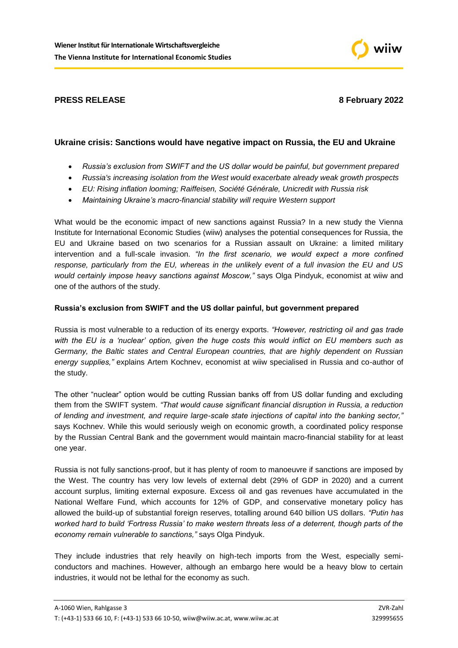

# **PRESS RELEASE 8 February 2022**

## **Ukraine crisis: Sanctions would have negative impact on Russia, the EU and Ukraine**

- *Russia's exclusion from SWIFT and the US dollar would be painful, but government prepared*
- *Russia's increasing isolation from the West would exacerbate already weak growth prospects*
- *EU: Rising inflation looming; Raiffeisen, Société Générale, Unicredit with Russia risk*
- *Maintaining Ukraine's macro-financial stability will require Western support*

What would be the economic impact of new sanctions against Russia? In a new study the Vienna Institute for International Economic Studies (wiiw) analyses the potential consequences for Russia, the EU and Ukraine based on two scenarios for a Russian assault on Ukraine: a limited military intervention and a full-scale invasion. *"In the first scenario, we would expect a more confined response, particularly from the EU, whereas in the unlikely event of a full invasion the EU and US would certainly impose heavy sanctions against Moscow,"* says Olga Pindyuk, economist at wiiw and one of the authors of the study.

## **Russia's exclusion from SWIFT and the US dollar painful, but government prepared**

Russia is most vulnerable to a reduction of its energy exports. *"However, restricting oil and gas trade with the EU is a 'nuclear' option, given the huge costs this would inflict on EU members such as Germany, the Baltic states and Central European countries, that are highly dependent on Russian energy supplies,"* explains Artem Kochnev, economist at wiiw specialised in Russia and co-author of the study.

The other "nuclear" option would be cutting Russian banks off from US dollar funding and excluding them from the SWIFT system. *"That would cause significant financial disruption in Russia, a reduction of lending and investment, and require large-scale state injections of capital into the banking sector,"* says Kochnev. While this would seriously weigh on economic growth, a coordinated policy response by the Russian Central Bank and the government would maintain macro-financial stability for at least one year.

Russia is not fully sanctions-proof, but it has plenty of room to manoeuvre if sanctions are imposed by the West. The country has very low levels of external debt (29% of GDP in 2020) and a current account surplus, limiting external exposure. Excess oil and gas revenues have accumulated in the National Welfare Fund, which accounts for 12% of GDP, and conservative monetary policy has allowed the build-up of substantial foreign reserves, totalling around 640 billion US dollars. *"Putin has worked hard to build 'Fortress Russia' to make western threats less of a deterrent, though parts of the economy remain vulnerable to sanctions,"* says Olga Pindyuk.

They include industries that rely heavily on high-tech imports from the West, especially semiconductors and machines. However, although an embargo here would be a heavy blow to certain industries, it would not be lethal for the economy as such.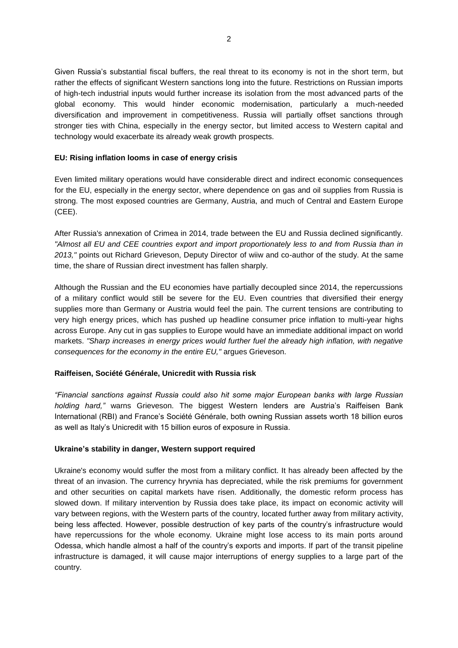Given Russia's substantial fiscal buffers, the real threat to its economy is not in the short term, but rather the effects of significant Western sanctions long into the future. Restrictions on Russian imports of high-tech industrial inputs would further increase its isolation from the most advanced parts of the global economy. This would hinder economic modernisation, particularly a much-needed diversification and improvement in competitiveness. Russia will partially offset sanctions through stronger ties with China, especially in the energy sector, but limited access to Western capital and technology would exacerbate its already weak growth prospects.

### **EU: Rising inflation looms in case of energy crisis**

Even limited military operations would have considerable direct and indirect economic consequences for the EU, especially in the energy sector, where dependence on gas and oil supplies from Russia is strong. The most exposed countries are Germany, Austria, and much of Central and Eastern Europe (CEE).

After Russia's annexation of Crimea in 2014, trade between the EU and Russia declined significantly. *"Almost all EU and CEE countries export and import proportionately less to and from Russia than in 2013,"* points out Richard Grieveson, Deputy Director of wiiw and co-author of the study. At the same time, the share of Russian direct investment has fallen sharply.

Although the Russian and the EU economies have partially decoupled since 2014, the repercussions of a military conflict would still be severe for the EU. Even countries that diversified their energy supplies more than Germany or Austria would feel the pain. The current tensions are contributing to very high energy prices, which has pushed up headline consumer price inflation to multi-year highs across Europe. Any cut in gas supplies to Europe would have an immediate additional impact on world markets. *"Sharp increases in energy prices would further fuel the already high inflation, with negative consequences for the economy in the entire EU,"* argues Grieveson.

### **Raiffeisen, Société Générale, Unicredit with Russia risk**

*"Financial sanctions against Russia could also hit some major European banks with large Russian holding hard,"* warns Grieveson. The biggest Western lenders are Austria's Raiffeisen Bank International (RBI) and France's Société Générale, both owning Russian assets worth 18 billion euros as well as Italy's Unicredit with 15 billion euros of exposure in Russia.

### **Ukraine's stability in danger, Western support required**

Ukraine's economy would suffer the most from a military conflict. It has already been affected by the threat of an invasion. The currency hryvnia has depreciated, while the risk premiums for government and other securities on capital markets have risen. Additionally, the domestic reform process has slowed down. If military intervention by Russia does take place, its impact on economic activity will vary between regions, with the Western parts of the country, located further away from military activity, being less affected. However, possible destruction of key parts of the country's infrastructure would have repercussions for the whole economy. Ukraine might lose access to its main ports around Odessa, which handle almost a half of the country's exports and imports. If part of the transit pipeline infrastructure is damaged, it will cause major interruptions of energy supplies to a large part of the country.